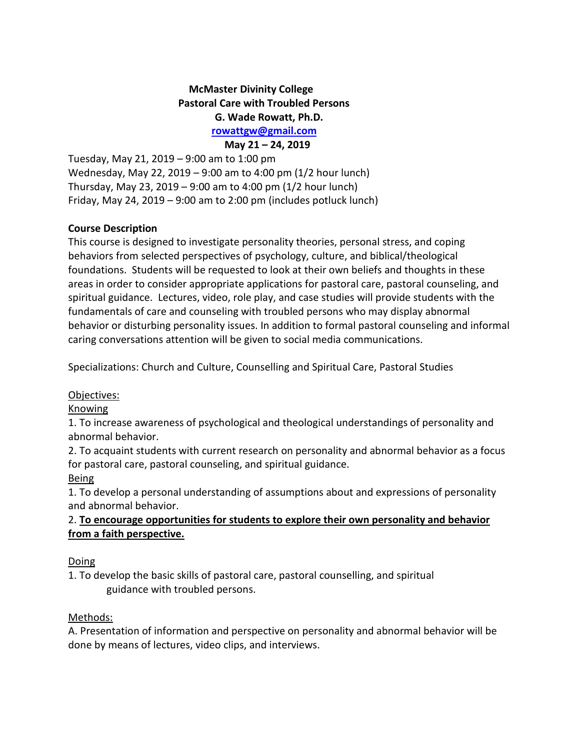# **McMaster Divinity College Pastoral Care with Troubled Persons G. Wade Rowatt, Ph.D. [rowattgw@gmail.com](mailto:gwrowatt@stmattpastoralcounseling.org)**

 **May 21 – 24, 2019** Tuesday, May 21, 2019 – 9:00 am to 1:00 pm Wednesday, May 22, 2019 – 9:00 am to 4:00 pm (1/2 hour lunch) Thursday, May 23, 2019 – 9:00 am to 4:00 pm (1/2 hour lunch) Friday, May 24, 2019 – 9:00 am to 2:00 pm (includes potluck lunch)

### **Course Description**

This course is designed to investigate personality theories, personal stress, and coping behaviors from selected perspectives of psychology, culture, and biblical/theological foundations. Students will be requested to look at their own beliefs and thoughts in these areas in order to consider appropriate applications for pastoral care, pastoral counseling, and spiritual guidance. Lectures, video, role play, and case studies will provide students with the fundamentals of care and counseling with troubled persons who may display abnormal behavior or disturbing personality issues. In addition to formal pastoral counseling and informal caring conversations attention will be given to social media communications.

Specializations: Church and Culture, Counselling and Spiritual Care, Pastoral Studies

#### Objectives:

#### Knowing

1. To increase awareness of psychological and theological understandings of personality and abnormal behavior.

2. To acquaint students with current research on personality and abnormal behavior as a focus for pastoral care, pastoral counseling, and spiritual guidance.

## Being

1. To develop a personal understanding of assumptions about and expressions of personality and abnormal behavior.

# 2. **To encourage opportunities for students to explore their own personality and behavior from a faith perspective.**

## Doing

1. To develop the basic skills of pastoral care, pastoral counselling, and spiritual guidance with troubled persons.

#### Methods:

A. Presentation of information and perspective on personality and abnormal behavior will be done by means of lectures, video clips, and interviews.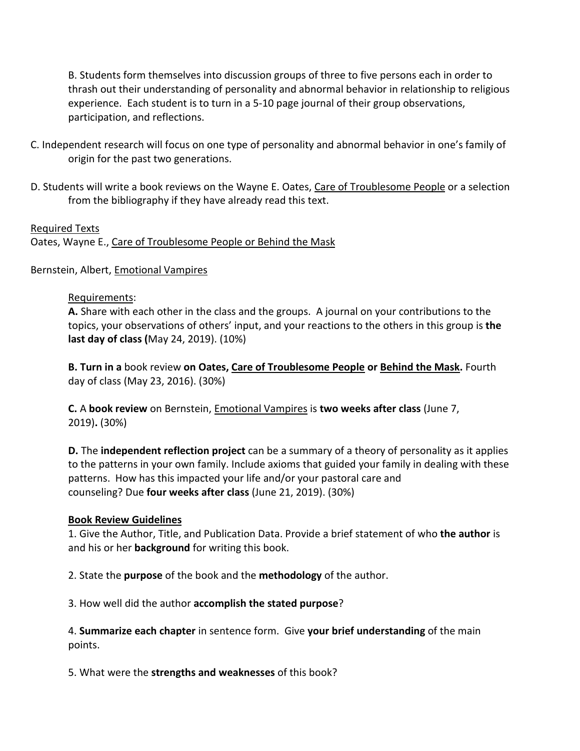B. Students form themselves into discussion groups of three to five persons each in order to thrash out their understanding of personality and abnormal behavior in relationship to religious experience. Each student is to turn in a 5-10 page journal of their group observations, participation, and reflections.

- C. Independent research will focus on one type of personality and abnormal behavior in one's family of origin for the past two generations.
- D. Students will write a book reviews on the Wayne E. Oates, Care of Troublesome People or a selection from the bibliography if they have already read this text.

### Required Texts

Oates, Wayne E., Care of Troublesome People or Behind the Mask

Bernstein, Albert, Emotional Vampires

### Requirements:

**A.** Share with each other in the class and the groups. A journal on your contributions to the topics, your observations of others' input, and your reactions to the others in this group is **the last day of class (**May 24, 2019). (10%)

**B. Turn in a** book review **on Oates, Care of Troublesome People or Behind the Mask.** Fourth day of class (May 23, 2016). (30%)

**C.** A **book review** on Bernstein, Emotional Vampires is **two weeks after class** (June 7, 2019)**.** (30%)

**D.** The **independent reflection project** can be a summary of a theory of personality as it applies to the patterns in your own family. Include axioms that guided your family in dealing with these patterns. How has this impacted your life and/or your pastoral care and counseling? Due **four weeks after class** (June 21, 2019). (30%)

#### **Book Review Guidelines**

1. Give the Author, Title, and Publication Data. Provide a brief statement of who **the author** is and his or her **background** for writing this book.

2. State the **purpose** of the book and the **methodology** of the author.

3. How well did the author **accomplish the stated purpose**?

4. **Summarize each chapter** in sentence form. Give **your brief understanding** of the main points.

5. What were the **strengths and weaknesses** of this book?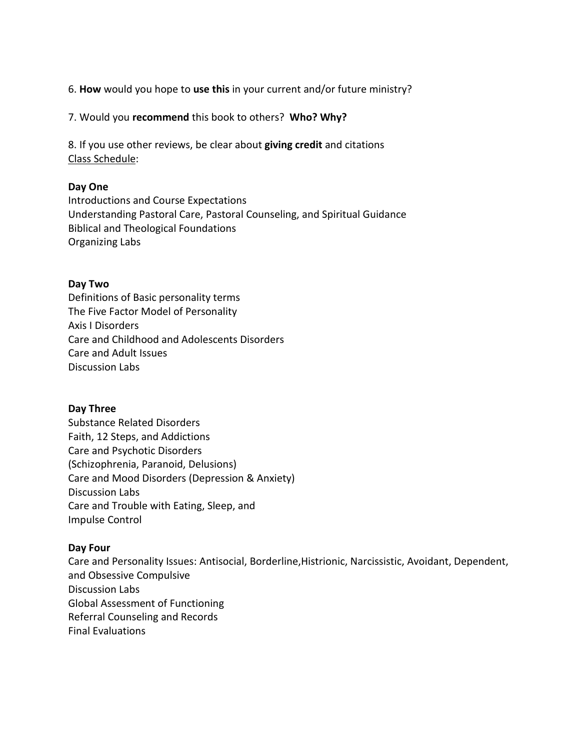6. **How** would you hope to **use this** in your current and/or future ministry?

7. Would you **recommend** this book to others? **Who? Why?**

8. If you use other reviews, be clear about **giving credit** and citations Class Schedule:

### **Day One**

Introductions and Course Expectations Understanding Pastoral Care, Pastoral Counseling, and Spiritual Guidance Biblical and Theological Foundations Organizing Labs

### **Day Two**

Definitions of Basic personality terms The Five Factor Model of Personality Axis I Disorders Care and Childhood and Adolescents Disorders Care and Adult Issues Discussion Labs

#### **Day Three**

Substance Related Disorders Faith, 12 Steps, and Addictions Care and Psychotic Disorders (Schizophrenia, Paranoid, Delusions) Care and Mood Disorders (Depression & Anxiety) Discussion Labs Care and Trouble with Eating, Sleep, and Impulse Control

#### **Day Four**

Care and Personality Issues: Antisocial, Borderline,Histrionic, Narcissistic, Avoidant, Dependent, and Obsessive Compulsive Discussion Labs Global Assessment of Functioning Referral Counseling and Records Final Evaluations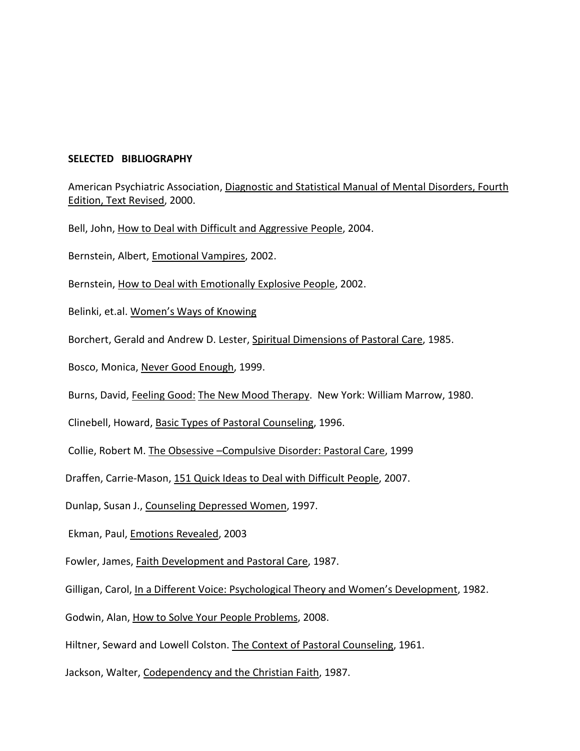#### **SELECTED BIBLIOGRAPHY**

American Psychiatric Association, Diagnostic and Statistical Manual of Mental Disorders, Fourth Edition, Text Revised, 2000.

Bell, John, How to Deal with Difficult and Aggressive People, 2004.

Bernstein, Albert, Emotional Vampires, 2002.

Bernstein, How to Deal with Emotionally Explosive People, 2002.

Belinki, et.al. Women's Ways of Knowing

Borchert, Gerald and Andrew D. Lester, Spiritual Dimensions of Pastoral Care, 1985.

Bosco, Monica, Never Good Enough, 1999.

Burns, David, Feeling Good: The New Mood Therapy. New York: William Marrow, 1980.

Clinebell, Howard, Basic Types of Pastoral Counseling, 1996.

Collie, Robert M. The Obsessive –Compulsive Disorder: Pastoral Care, 1999

Draffen, Carrie-Mason, 151 Quick Ideas to Deal with Difficult People, 2007.

Dunlap, Susan J., Counseling Depressed Women, 1997.

Ekman, Paul, Emotions Revealed, 2003

Fowler, James, Faith Development and Pastoral Care, 1987.

Gilligan, Carol, In a Different Voice: Psychological Theory and Women's Development, 1982.

Godwin, Alan, How to Solve Your People Problems, 2008.

Hiltner, Seward and Lowell Colston. The Context of Pastoral Counseling, 1961.

Jackson, Walter, Codependency and the Christian Faith, 1987.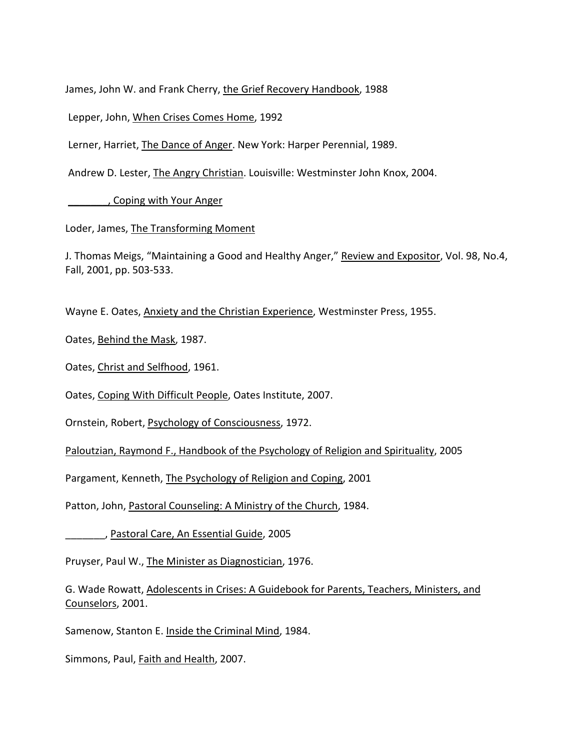James, John W. and Frank Cherry, the Grief Recovery Handbook, 1988

Lepper, John, When Crises Comes Home, 1992

Lerner, Harriet, The Dance of Anger. New York: Harper Perennial, 1989.

Andrew D. Lester, The Angry Christian. Louisville: Westminster John Knox, 2004.

\_\_\_\_\_\_\_, Coping with Your Anger

Loder, James, The Transforming Moment

J. Thomas Meigs, "Maintaining a Good and Healthy Anger," Review and Expositor, Vol. 98, No.4, Fall, 2001, pp. 503-533.

Wayne E. Oates, Anxiety and the Christian Experience, Westminster Press, 1955.

Oates, Behind the Mask, 1987.

Oates, Christ and Selfhood, 1961.

Oates, Coping With Difficult People, Oates Institute, 2007.

Ornstein, Robert, Psychology of Consciousness, 1972.

Paloutzian, Raymond F., Handbook of the Psychology of Religion and Spirituality, 2005

Pargament, Kenneth, The Psychology of Religion and Coping, 2001

Patton, John, Pastoral Counseling: A Ministry of the Church, 1984.

\_\_\_\_\_\_\_, Pastoral Care, An Essential Guide, 2005

Pruyser, Paul W., The Minister as Diagnostician, 1976.

G. Wade Rowatt, Adolescents in Crises: A Guidebook for Parents, Teachers, Ministers, and Counselors, 2001.

Samenow, Stanton E. Inside the Criminal Mind, 1984.

Simmons, Paul, Faith and Health, 2007.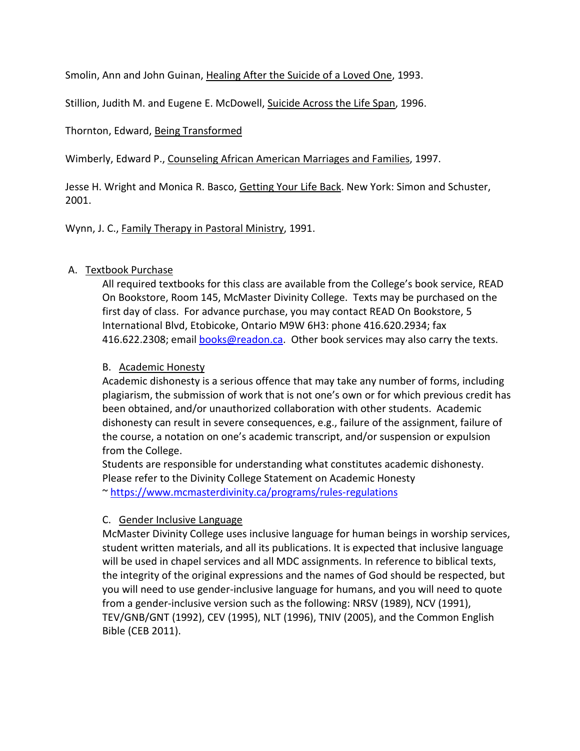Smolin, Ann and John Guinan, Healing After the Suicide of a Loved One, 1993.

Stillion, Judith M. and Eugene E. McDowell, Suicide Across the Life Span, 1996.

# Thornton, Edward, Being Transformed

Wimberly, Edward P., Counseling African American Marriages and Families, 1997.

Jesse H. Wright and Monica R. Basco, Getting Your Life Back. New York: Simon and Schuster, 2001.

Wynn, J. C., Family Therapy in Pastoral Ministry, 1991.

# A. Textbook Purchase

All required textbooks for this class are available from the College's book service, READ On Bookstore, Room 145, McMaster Divinity College. Texts may be purchased on the first day of class. For advance purchase, you may contact READ On Bookstore, 5 International Blvd, Etobicoke, Ontario M9W 6H3: phone 416.620.2934; fax 416.622.2308; email [books@readon.ca.](mailto:books@readon.ca) Other book services may also carry the texts.

# B. Academic Honesty

Academic dishonesty is a serious offence that may take any number of forms, including plagiarism, the submission of work that is not one's own or for which previous credit has been obtained, and/or unauthorized collaboration with other students. Academic dishonesty can result in severe consequences, e.g., failure of the assignment, failure of the course, a notation on one's academic transcript, and/or suspension or expulsion from the College.

Students are responsible for understanding what constitutes academic dishonesty. Please refer to the Divinity College Statement on Academic Honesty ~<https://www.mcmasterdivinity.ca/programs/rules-regulations>

## C. Gender Inclusive Language

McMaster Divinity College uses inclusive language for human beings in worship services, student written materials, and all its publications. It is expected that inclusive language will be used in chapel services and all MDC assignments. In reference to biblical texts, the integrity of the original expressions and the names of God should be respected, but you will need to use gender-inclusive language for humans, and you will need to quote from a gender-inclusive version such as the following: NRSV (1989), NCV (1991), TEV/GNB/GNT (1992), CEV (1995), NLT (1996), TNIV (2005), and the Common English Bible (CEB 2011).